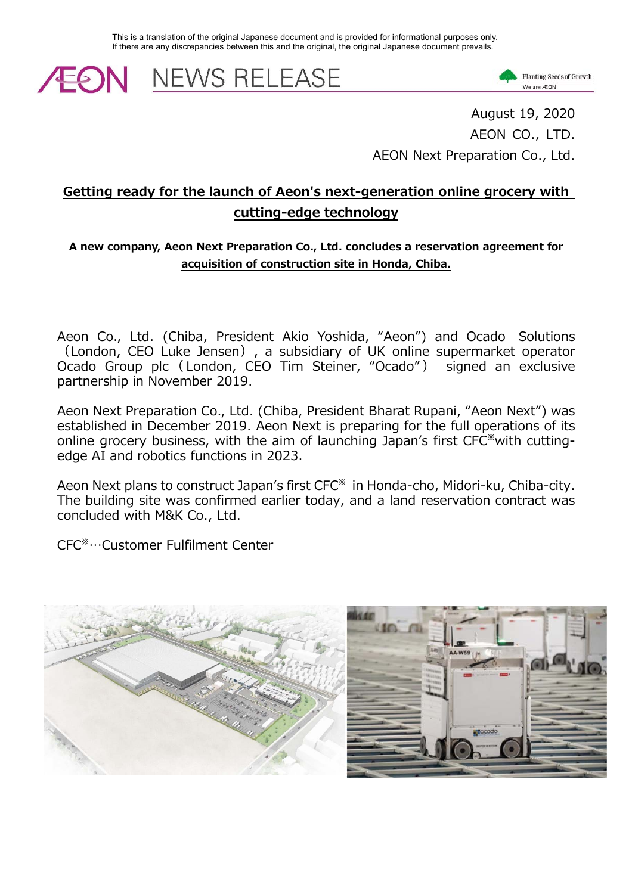This is a translation of the original Japanese document and is provided for informational purposes only. If there are any discrepancies between this and the original, the original Japanese document prevails.

**EON NEWS RELEASE** 



August 19, 2020 AEON CO., LTD. AEON Next Preparation Co., Ltd.

# **Getting ready for the launch of Aeon's next-generation online grocery with cutting-edge technology**

#### **A new company, Aeon Next Preparation Co., Ltd. concludes a reservation agreement for acquisition of construction site in Honda, Chiba.**

Aeon Co., Ltd. (Chiba, President Akio Yoshida, "Aeon") and Ocado Solutions (London, CEO Luke Jensen), a subsidiary of UK online supermarket operator Ocado Group plc ( London, CEO Tim Steiner, "Ocado" ) signed an exclusive partnership in November 2019.

Aeon Next Preparation Co., Ltd. (Chiba, President Bharat Rupani, "Aeon Next") was established in December 2019. Aeon Next is preparing for the full operations of its online grocery business, with the aim of launching Japan's first CFC※with cuttingedge AI and robotics functions in 2023.

Aeon Next plans to construct Japan's first CFC※ in Honda-cho, Midori-ku, Chiba-city. The building site was confirmed earlier today, and a land reservation contract was concluded with M&K Co., Ltd.

CFC※…Customer Fulfilment Center

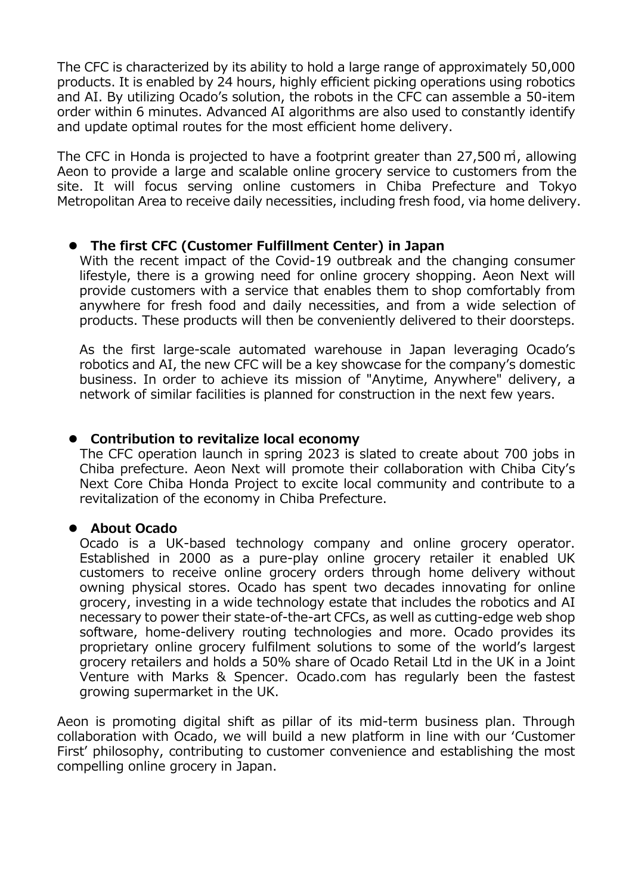The CFC is characterized by its ability to hold a large range of approximately 50,000 products. It is enabled by 24 hours, highly efficient picking operations using robotics and AI. By utilizing Ocado's solution, the robots in the CFC can assemble a 50-item order within 6 minutes. Advanced AI algorithms are also used to constantly identify and update optimal routes for the most efficient home delivery.

The CFC in Honda is projected to have a footprint greater than 27,500 ㎡, allowing Aeon to provide a large and scalable online grocery service to customers from the site. It will focus serving online customers in Chiba Prefecture and Tokyo Metropolitan Area to receive daily necessities, including fresh food, via home delivery.

### **The first CFC (Customer Fulfillment Center) in Japan**

With the recent impact of the Covid-19 outbreak and the changing consumer lifestyle, there is a growing need for online grocery shopping. Aeon Next will provide customers with a service that enables them to shop comfortably from anywhere for fresh food and daily necessities, and from a wide selection of products. These products will then be conveniently delivered to their doorsteps.

As the first large-scale automated warehouse in Japan leveraging Ocado's robotics and AI, the new CFC will be a key showcase for the company's domestic business. In order to achieve its mission of "Anytime, Anywhere" delivery, a network of similar facilities is planned for construction in the next few years.

## **Contribution to revitalize local economy**

The CFC operation launch in spring 2023 is slated to create about 700 jobs in Chiba prefecture. Aeon Next will promote their collaboration with Chiba City's Next Core Chiba Honda Project to excite local community and contribute to a revitalization of the economy in Chiba Prefecture.

### **About Ocado**

Ocado is a UK-based technology company and online grocery operator. Established in 2000 as a pure-play online grocery retailer it enabled UK customers to receive online grocery orders through home delivery without owning physical stores. Ocado has spent two decades innovating for online grocery, investing in a wide technology estate that includes the robotics and AI necessary to power their state-of-the-art CFCs, as well as cutting-edge web shop software, home-delivery routing technologies and more. Ocado provides its proprietary online grocery fulfilment solutions to some of the world's largest grocery retailers and holds a 50% share of Ocado Retail Ltd in the UK in a Joint Venture with Marks & Spencer. Ocado.com has regularly been the fastest growing supermarket in the UK.

Aeon is promoting digital shift as pillar of its mid-term business plan. Through collaboration with Ocado, we will build a new platform in line with our ʻCustomer First' philosophy, contributing to customer convenience and establishing the most compelling online grocery in Japan.